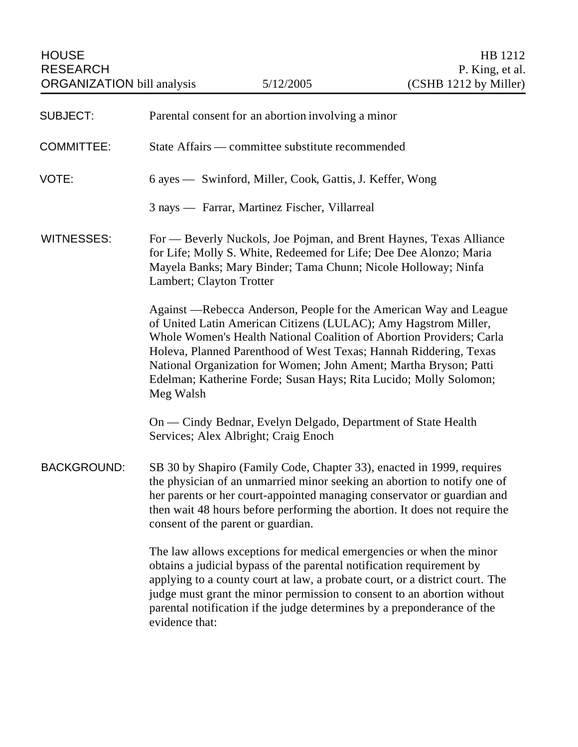| <b>SUBJECT:</b>    | Parental consent for an abortion involving a minor                                                                                                                                                                                                                                                                                                                                                                                       |
|--------------------|------------------------------------------------------------------------------------------------------------------------------------------------------------------------------------------------------------------------------------------------------------------------------------------------------------------------------------------------------------------------------------------------------------------------------------------|
| <b>COMMITTEE:</b>  | State Affairs — committee substitute recommended                                                                                                                                                                                                                                                                                                                                                                                         |
| VOTE:              | 6 ayes — Swinford, Miller, Cook, Gattis, J. Keffer, Wong                                                                                                                                                                                                                                                                                                                                                                                 |
|                    | 3 nays — Farrar, Martinez Fischer, Villarreal                                                                                                                                                                                                                                                                                                                                                                                            |
| <b>WITNESSES:</b>  | For — Beverly Nuckols, Joe Pojman, and Brent Haynes, Texas Alliance<br>for Life; Molly S. White, Redeemed for Life; Dee Dee Alonzo; Maria<br>Mayela Banks; Mary Binder; Tama Chunn; Nicole Holloway; Ninfa<br>Lambert; Clayton Trotter                                                                                                                                                                                                   |
|                    | Against —Rebecca Anderson, People for the American Way and League<br>of United Latin American Citizens (LULAC); Amy Hagstrom Miller,<br>Whole Women's Health National Coalition of Abortion Providers; Carla<br>Holeva, Planned Parenthood of West Texas; Hannah Riddering, Texas<br>National Organization for Women; John Ament; Martha Bryson; Patti<br>Edelman; Katherine Forde; Susan Hays; Rita Lucido; Molly Solomon;<br>Meg Walsh |
|                    | On — Cindy Bednar, Evelyn Delgado, Department of State Health<br>Services; Alex Albright; Craig Enoch                                                                                                                                                                                                                                                                                                                                    |
| <b>BACKGROUND:</b> | SB 30 by Shapiro (Family Code, Chapter 33), enacted in 1999, requires<br>the physician of an unmarried minor seeking an abortion to notify one of<br>her parents or her court-appointed managing conservator or guardian and<br>then wait 48 hours before performing the abortion. It does not require the<br>consent of the parent or guardian.                                                                                         |
|                    | The law allows exceptions for medical emergencies or when the minor<br>obtains a judicial bypass of the parental notification requirement by<br>applying to a county court at law, a probate court, or a district court. The<br>judge must grant the minor permission to consent to an abortion without<br>parental notification if the judge determines by a preponderance of the<br>evidence that:                                     |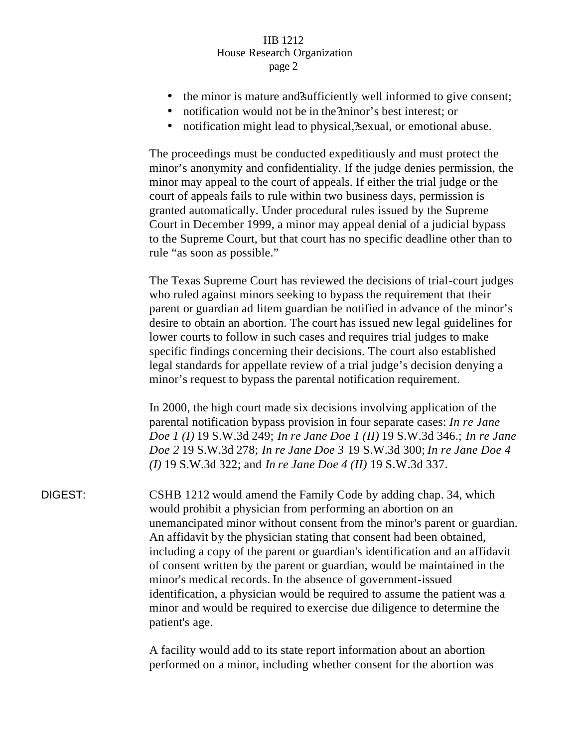- the minor is mature and sufficiently well informed to give consent;
- notification would not be in the ?minor's best interest; or
- notification might lead to physical, sexual, or emotional abuse.

The proceedings must be conducted expeditiously and must protect the minor's anonymity and confidentiality. If the judge denies permission, the minor may appeal to the court of appeals. If either the trial judge or the court of appeals fails to rule within two business days, permission is granted automatically. Under procedural rules issued by the Supreme Court in December 1999, a minor may appeal denial of a judicial bypass to the Supreme Court, but that court has no specific deadline other than to rule "as soon as possible."

The Texas Supreme Court has reviewed the decisions of trial-court judges who ruled against minors seeking to bypass the requirement that their parent or guardian ad litem guardian be notified in advance of the minor's desire to obtain an abortion. The court has issued new legal guidelines for lower courts to follow in such cases and requires trial judges to make specific findings concerning their decisions. The court also established legal standards for appellate review of a trial judge's decision denying a minor's request to bypass the parental notification requirement.

In 2000, the high court made six decisions involving application of the parental notification bypass provision in four separate cases: *In re Jane Doe 1 (I)* 19 S.W.3d 249; *In re Jane Doe 1 (II)* 19 S.W.3d 346.; *In re Jane Doe 2* 19 S.W.3d 278; *In re Jane Doe 3* 19 S.W.3d 300; *In re Jane Doe 4 (I)* 19 S.W.3d 322; and *In re Jane Doe 4 (II)* 19 S.W.3d 337.

DIGEST: CSHB 1212 would amend the Family Code by adding chap. 34, which would prohibit a physician from performing an abortion on an unemancipated minor without consent from the minor's parent or guardian. An affidavit by the physician stating that consent had been obtained, including a copy of the parent or guardian's identification and an affidavit of consent written by the parent or guardian, would be maintained in the minor's medical records. In the absence of government-issued identification, a physician would be required to assume the patient was a minor and would be required to exercise due diligence to determine the patient's age.

> A facility would add to its state report information about an abortion performed on a minor, including whether consent for the abortion was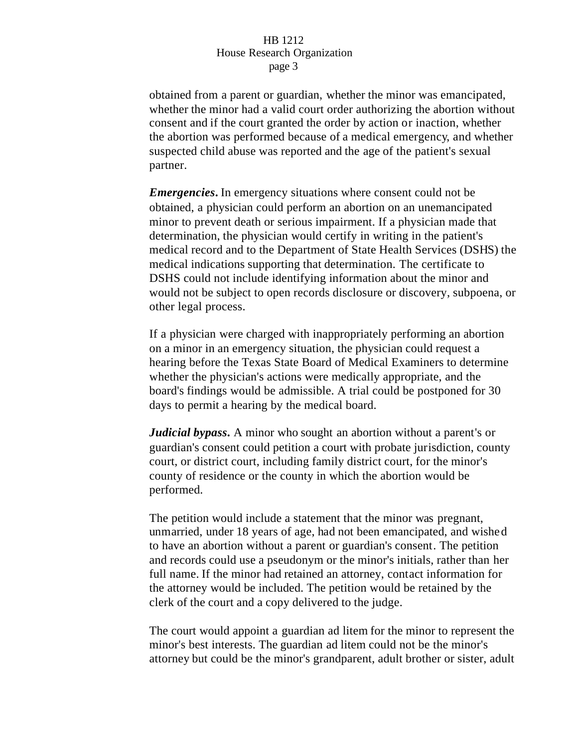obtained from a parent or guardian, whether the minor was emancipated, whether the minor had a valid court order authorizing the abortion without consent and if the court granted the order by action or inaction, whether the abortion was performed because of a medical emergency, and whether suspected child abuse was reported and the age of the patient's sexual partner.

*Emergencies***.** In emergency situations where consent could not be obtained, a physician could perform an abortion on an unemancipated minor to prevent death or serious impairment. If a physician made that determination, the physician would certify in writing in the patient's medical record and to the Department of State Health Services (DSHS) the medical indications supporting that determination. The certificate to DSHS could not include identifying information about the minor and would not be subject to open records disclosure or discovery, subpoena, or other legal process.

If a physician were charged with inappropriately performing an abortion on a minor in an emergency situation, the physician could request a hearing before the Texas State Board of Medical Examiners to determine whether the physician's actions were medically appropriate, and the board's findings would be admissible. A trial could be postponed for 30 days to permit a hearing by the medical board.

*Judicial bypass***.** A minor who sought an abortion without a parent's or guardian's consent could petition a court with probate jurisdiction, county court, or district court, including family district court, for the minor's county of residence or the county in which the abortion would be performed.

The petition would include a statement that the minor was pregnant, unmarried, under 18 years of age, had not been emancipated, and wished to have an abortion without a parent or guardian's consent. The petition and records could use a pseudonym or the minor's initials, rather than her full name. If the minor had retained an attorney, contact information for the attorney would be included. The petition would be retained by the clerk of the court and a copy delivered to the judge.

The court would appoint a guardian ad litem for the minor to represent the minor's best interests. The guardian ad litem could not be the minor's attorney but could be the minor's grandparent, adult brother or sister, adult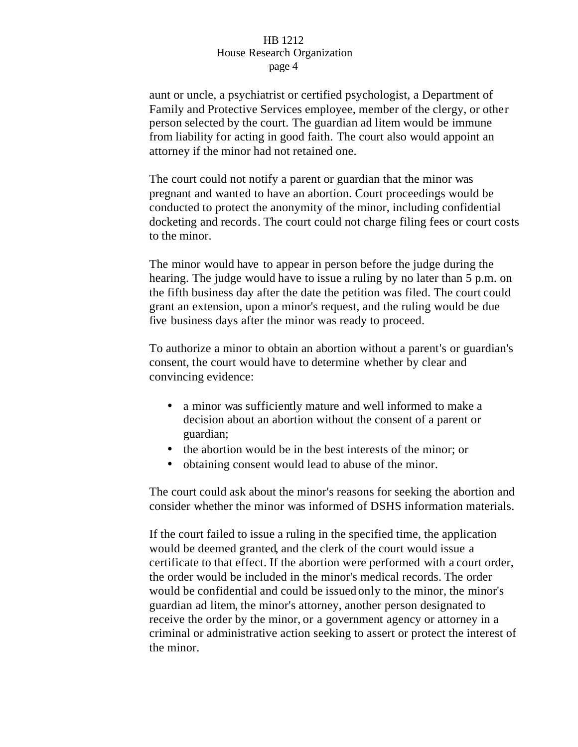aunt or uncle, a psychiatrist or certified psychologist, a Department of Family and Protective Services employee, member of the clergy, or other person selected by the court. The guardian ad litem would be immune from liability for acting in good faith. The court also would appoint an attorney if the minor had not retained one.

The court could not notify a parent or guardian that the minor was pregnant and wanted to have an abortion. Court proceedings would be conducted to protect the anonymity of the minor, including confidential docketing and records. The court could not charge filing fees or court costs to the minor.

The minor would have to appear in person before the judge during the hearing. The judge would have to issue a ruling by no later than 5 p.m. on the fifth business day after the date the petition was filed. The court could grant an extension, upon a minor's request, and the ruling would be due five business days after the minor was ready to proceed.

To authorize a minor to obtain an abortion without a parent's or guardian's consent, the court would have to determine whether by clear and convincing evidence:

- a minor was sufficiently mature and well informed to make a decision about an abortion without the consent of a parent or guardian;
- the abortion would be in the best interests of the minor; or
- obtaining consent would lead to abuse of the minor.

The court could ask about the minor's reasons for seeking the abortion and consider whether the minor was informed of DSHS information materials.

If the court failed to issue a ruling in the specified time, the application would be deemed granted, and the clerk of the court would issue a certificate to that effect. If the abortion were performed with a court order, the order would be included in the minor's medical records. The order would be confidential and could be issued only to the minor, the minor's guardian ad litem, the minor's attorney, another person designated to receive the order by the minor, or a government agency or attorney in a criminal or administrative action seeking to assert or protect the interest of the minor.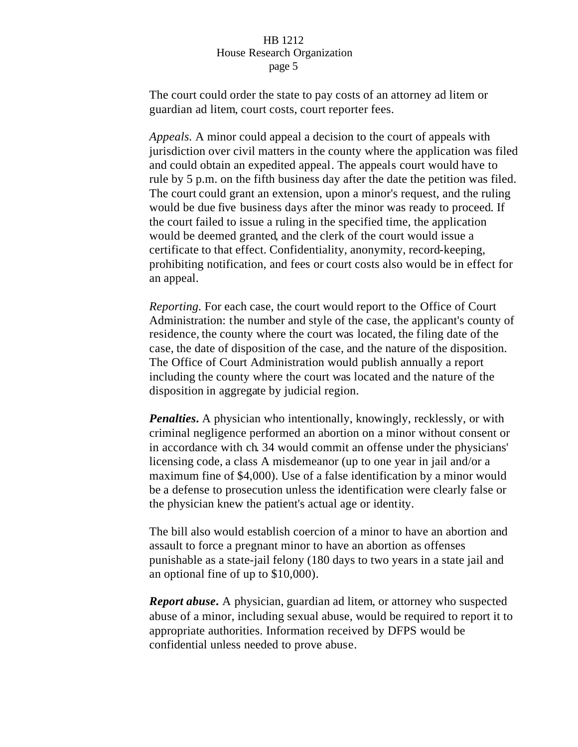The court could order the state to pay costs of an attorney ad litem or guardian ad litem, court costs, court reporter fees.

*Appeals.* A minor could appeal a decision to the court of appeals with jurisdiction over civil matters in the county where the application was filed and could obtain an expedited appeal. The appeals court would have to rule by 5 p.m. on the fifth business day after the date the petition was filed. The court could grant an extension, upon a minor's request, and the ruling would be due five business days after the minor was ready to proceed. If the court failed to issue a ruling in the specified time, the application would be deemed granted, and the clerk of the court would issue a certificate to that effect. Confidentiality, anonymity, record-keeping, prohibiting notification, and fees or court costs also would be in effect for an appeal.

*Reporting.* For each case, the court would report to the Office of Court Administration: the number and style of the case, the applicant's county of residence, the county where the court was located, the filing date of the case, the date of disposition of the case, and the nature of the disposition. The Office of Court Administration would publish annually a report including the county where the court was located and the nature of the disposition in aggregate by judicial region.

*Penalties*. A physician who intentionally, knowingly, recklessly, or with criminal negligence performed an abortion on a minor without consent or in accordance with ch. 34 would commit an offense under the physicians' licensing code, a class A misdemeanor (up to one year in jail and/or a maximum fine of \$4,000). Use of a false identification by a minor would be a defense to prosecution unless the identification were clearly false or the physician knew the patient's actual age or identity.

The bill also would establish coercion of a minor to have an abortion and assault to force a pregnant minor to have an abortion as offenses punishable as a state-jail felony (180 days to two years in a state jail and an optional fine of up to \$10,000).

*Report abuse***.** A physician, guardian ad litem, or attorney who suspected abuse of a minor, including sexual abuse, would be required to report it to appropriate authorities. Information received by DFPS would be confidential unless needed to prove abuse.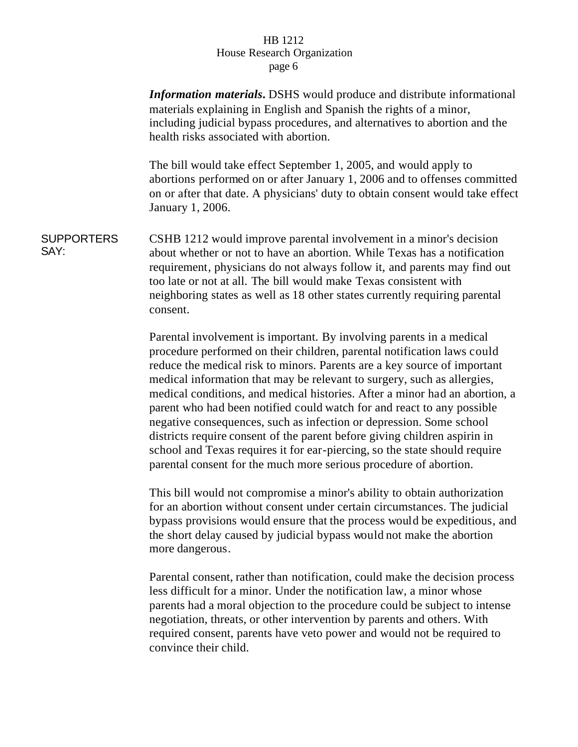*Information materials***.** DSHS would produce and distribute informational materials explaining in English and Spanish the rights of a minor, including judicial bypass procedures, and alternatives to abortion and the health risks associated with abortion.

The bill would take effect September 1, 2005, and would apply to abortions performed on or after January 1, 2006 and to offenses committed on or after that date. A physicians' duty to obtain consent would take effect January 1, 2006.

**SUPPORTERS** SAY: CSHB 1212 would improve parental involvement in a minor's decision about whether or not to have an abortion. While Texas has a notification requirement, physicians do not always follow it, and parents may find out too late or not at all. The bill would make Texas consistent with neighboring states as well as 18 other states currently requiring parental consent.

> Parental involvement is important. By involving parents in a medical procedure performed on their children, parental notification laws could reduce the medical risk to minors. Parents are a key source of important medical information that may be relevant to surgery, such as allergies, medical conditions, and medical histories. After a minor had an abortion, a parent who had been notified could watch for and react to any possible negative consequences, such as infection or depression. Some school districts require consent of the parent before giving children aspirin in school and Texas requires it for ear-piercing, so the state should require parental consent for the much more serious procedure of abortion.

> This bill would not compromise a minor's ability to obtain authorization for an abortion without consent under certain circumstances. The judicial bypass provisions would ensure that the process would be expeditious, and the short delay caused by judicial bypass would not make the abortion more dangerous.

> Parental consent, rather than notification, could make the decision process less difficult for a minor. Under the notification law, a minor whose parents had a moral objection to the procedure could be subject to intense negotiation, threats, or other intervention by parents and others. With required consent, parents have veto power and would not be required to convince their child.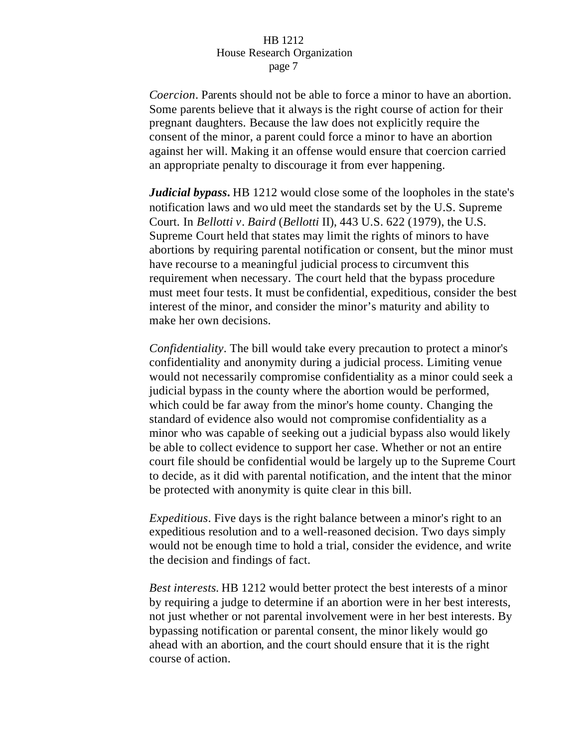*Coercion*. Parents should not be able to force a minor to have an abortion. Some parents believe that it always is the right course of action for their pregnant daughters. Because the law does not explicitly require the consent of the minor, a parent could force a minor to have an abortion against her will. Making it an offense would ensure that coercion carried an appropriate penalty to discourage it from ever happening.

*Judicial bypass***.** HB 1212 would close some of the loopholes in the state's notification laws and wo uld meet the standards set by the U.S. Supreme Court. In *Bellotti v. Baird* (*Bellotti* II), 443 U.S. 622 (1979), the U.S. Supreme Court held that states may limit the rights of minors to have abortions by requiring parental notification or consent, but the minor must have recourse to a meaningful judicial process to circumvent this requirement when necessary. The court held that the bypass procedure must meet four tests. It must be confidential, expeditious, consider the best interest of the minor, and consider the minor's maturity and ability to make her own decisions.

*Confidentiality*. The bill would take every precaution to protect a minor's confidentiality and anonymity during a judicial process. Limiting venue would not necessarily compromise confidentiality as a minor could seek a judicial bypass in the county where the abortion would be performed, which could be far away from the minor's home county. Changing the standard of evidence also would not compromise confidentiality as a minor who was capable of seeking out a judicial bypass also would likely be able to collect evidence to support her case. Whether or not an entire court file should be confidential would be largely up to the Supreme Court to decide, as it did with parental notification, and the intent that the minor be protected with anonymity is quite clear in this bill.

*Expeditious*. Five days is the right balance between a minor's right to an expeditious resolution and to a well-reasoned decision. Two days simply would not be enough time to hold a trial, consider the evidence, and write the decision and findings of fact.

*Best interests.* HB 1212 would better protect the best interests of a minor by requiring a judge to determine if an abortion were in her best interests, not just whether or not parental involvement were in her best interests. By bypassing notification or parental consent, the minor likely would go ahead with an abortion, and the court should ensure that it is the right course of action.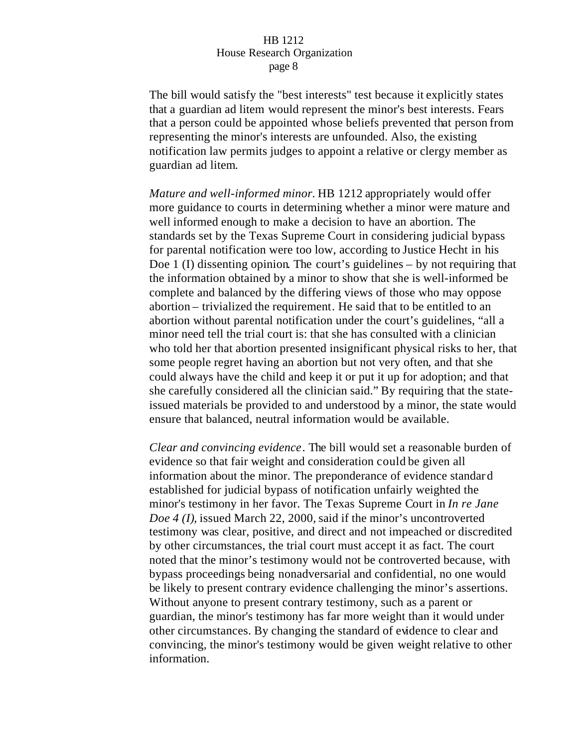The bill would satisfy the "best interests" test because it explicitly states that a guardian ad litem would represent the minor's best interests. Fears that a person could be appointed whose beliefs prevented that person from representing the minor's interests are unfounded. Also, the existing notification law permits judges to appoint a relative or clergy member as guardian ad litem.

*Mature and well-informed minor.* HB 1212 appropriately would offer more guidance to courts in determining whether a minor were mature and well informed enough to make a decision to have an abortion. The standards set by the Texas Supreme Court in considering judicial bypass for parental notification were too low, according to Justice Hecht in his Doe 1 (I) dissenting opinion. The court's guidelines – by not requiring that the information obtained by a minor to show that she is well-informed be complete and balanced by the differing views of those who may oppose abortion – trivialized the requirement. He said that to be entitled to an abortion without parental notification under the court's guidelines, "all a minor need tell the trial court is: that she has consulted with a clinician who told her that abortion presented insignificant physical risks to her, that some people regret having an abortion but not very often, and that she could always have the child and keep it or put it up for adoption; and that she carefully considered all the clinician said." By requiring that the stateissued materials be provided to and understood by a minor, the state would ensure that balanced, neutral information would be available.

*Clear and convincing evidence*. The bill would set a reasonable burden of evidence so that fair weight and consideration could be given all information about the minor. The preponderance of evidence standard established for judicial bypass of notification unfairly weighted the minor's testimony in her favor. The Texas Supreme Court in *In re Jane Doe 4 (I),* issued March 22, 2000, said if the minor's uncontroverted testimony was clear, positive, and direct and not impeached or discredited by other circumstances, the trial court must accept it as fact. The court noted that the minor's testimony would not be controverted because, with bypass proceedings being nonadversarial and confidential, no one would be likely to present contrary evidence challenging the minor's assertions. Without anyone to present contrary testimony, such as a parent or guardian, the minor's testimony has far more weight than it would under other circumstances. By changing the standard of evidence to clear and convincing, the minor's testimony would be given weight relative to other information.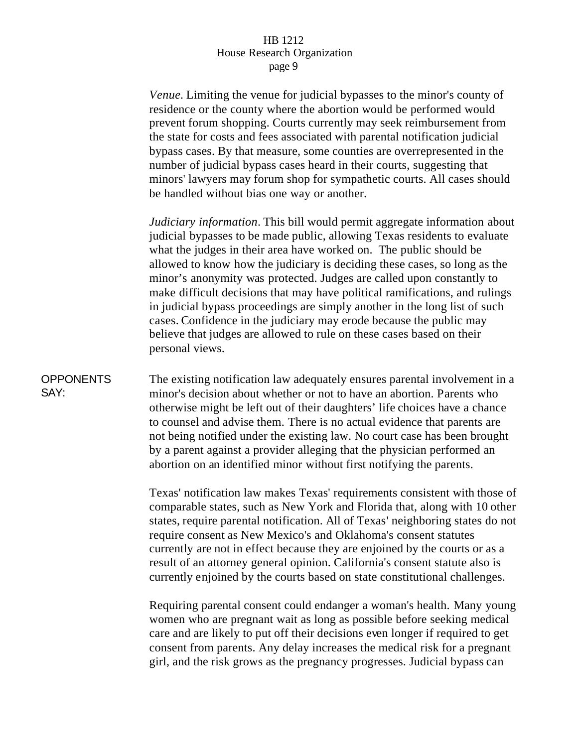*Venue.* Limiting the venue for judicial bypasses to the minor's county of residence or the county where the abortion would be performed would prevent forum shopping. Courts currently may seek reimbursement from the state for costs and fees associated with parental notification judicial bypass cases. By that measure, some counties are overrepresented in the number of judicial bypass cases heard in their courts, suggesting that minors' lawyers may forum shop for sympathetic courts. All cases should be handled without bias one way or another.

*Judiciary information*. This bill would permit aggregate information about judicial bypasses to be made public, allowing Texas residents to evaluate what the judges in their area have worked on. The public should be allowed to know how the judiciary is deciding these cases, so long as the minor's anonymity was protected. Judges are called upon constantly to make difficult decisions that may have political ramifications, and rulings in judicial bypass proceedings are simply another in the long list of such cases. Confidence in the judiciary may erode because the public may believe that judges are allowed to rule on these cases based on their personal views.

# **OPPONENTS** SAY:

The existing notification law adequately ensures parental involvement in a minor's decision about whether or not to have an abortion. Parents who otherwise might be left out of their daughters' life choices have a chance to counsel and advise them. There is no actual evidence that parents are not being notified under the existing law. No court case has been brought by a parent against a provider alleging that the physician performed an abortion on an identified minor without first notifying the parents.

Texas' notification law makes Texas' requirements consistent with those of comparable states, such as New York and Florida that, along with 10 other states, require parental notification. All of Texas' neighboring states do not require consent as New Mexico's and Oklahoma's consent statutes currently are not in effect because they are enjoined by the courts or as a result of an attorney general opinion. California's consent statute also is currently enjoined by the courts based on state constitutional challenges.

Requiring parental consent could endanger a woman's health. Many young women who are pregnant wait as long as possible before seeking medical care and are likely to put off their decisions even longer if required to get consent from parents. Any delay increases the medical risk for a pregnant girl, and the risk grows as the pregnancy progresses. Judicial bypass can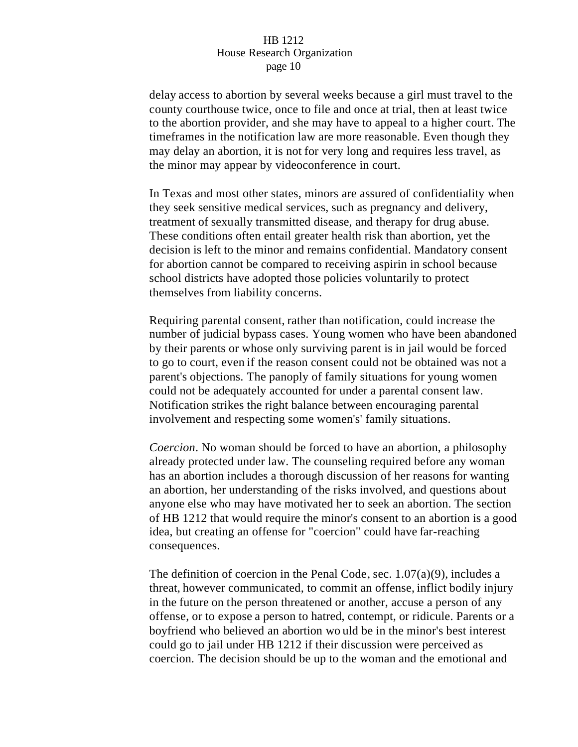delay access to abortion by several weeks because a girl must travel to the county courthouse twice, once to file and once at trial, then at least twice to the abortion provider, and she may have to appeal to a higher court. The timeframes in the notification law are more reasonable. Even though they may delay an abortion, it is not for very long and requires less travel, as the minor may appear by videoconference in court.

In Texas and most other states, minors are assured of confidentiality when they seek sensitive medical services, such as pregnancy and delivery, treatment of sexually transmitted disease, and therapy for drug abuse. These conditions often entail greater health risk than abortion, yet the decision is left to the minor and remains confidential. Mandatory consent for abortion cannot be compared to receiving aspirin in school because school districts have adopted those policies voluntarily to protect themselves from liability concerns.

Requiring parental consent, rather than notification, could increase the number of judicial bypass cases. Young women who have been abandoned by their parents or whose only surviving parent is in jail would be forced to go to court, even if the reason consent could not be obtained was not a parent's objections. The panoply of family situations for young women could not be adequately accounted for under a parental consent law. Notification strikes the right balance between encouraging parental involvement and respecting some women's' family situations.

*Coercion*. No woman should be forced to have an abortion, a philosophy already protected under law. The counseling required before any woman has an abortion includes a thorough discussion of her reasons for wanting an abortion, her understanding of the risks involved, and questions about anyone else who may have motivated her to seek an abortion. The section of HB 1212 that would require the minor's consent to an abortion is a good idea, but creating an offense for "coercion" could have far-reaching consequences.

The definition of coercion in the Penal Code, sec.  $1.07(a)(9)$ , includes a threat, however communicated, to commit an offense, inflict bodily injury in the future on the person threatened or another, accuse a person of any offense, or to expose a person to hatred, contempt, or ridicule. Parents or a boyfriend who believed an abortion wo uld be in the minor's best interest could go to jail under HB 1212 if their discussion were perceived as coercion. The decision should be up to the woman and the emotional and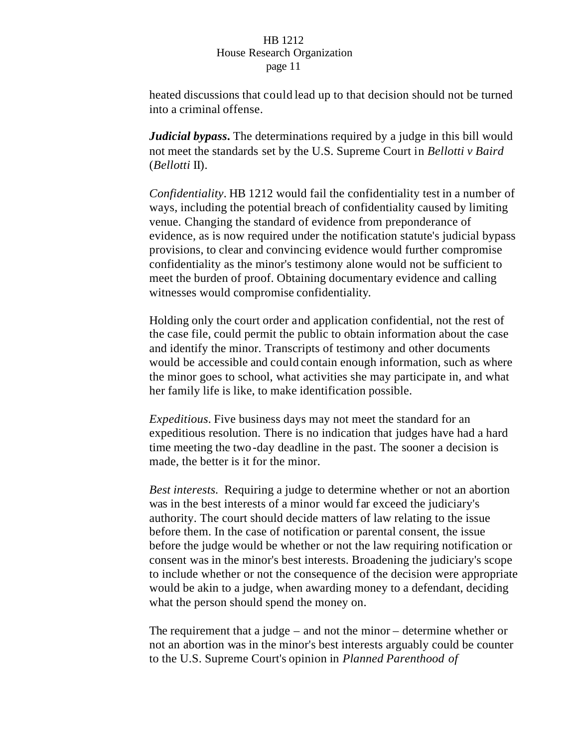heated discussions that could lead up to that decision should not be turned into a criminal offense.

*Judicial bypass***.** The determinations required by a judge in this bill would not meet the standards set by the U.S. Supreme Court in *Bellotti v Baird* (*Bellotti* II).

*Confidentiality*. HB 1212 would fail the confidentiality test in a number of ways, including the potential breach of confidentiality caused by limiting venue. Changing the standard of evidence from preponderance of evidence, as is now required under the notification statute's judicial bypass provisions, to clear and convincing evidence would further compromise confidentiality as the minor's testimony alone would not be sufficient to meet the burden of proof. Obtaining documentary evidence and calling witnesses would compromise confidentiality.

Holding only the court order and application confidential, not the rest of the case file, could permit the public to obtain information about the case and identify the minor. Transcripts of testimony and other documents would be accessible and could contain enough information, such as where the minor goes to school, what activities she may participate in, and what her family life is like, to make identification possible.

*Expeditious.* Five business days may not meet the standard for an expeditious resolution. There is no indication that judges have had a hard time meeting the two-day deadline in the past. The sooner a decision is made, the better is it for the minor.

*Best interests.* Requiring a judge to determine whether or not an abortion was in the best interests of a minor would far exceed the judiciary's authority. The court should decide matters of law relating to the issue before them. In the case of notification or parental consent, the issue before the judge would be whether or not the law requiring notification or consent was in the minor's best interests. Broadening the judiciary's scope to include whether or not the consequence of the decision were appropriate would be akin to a judge, when awarding money to a defendant, deciding what the person should spend the money on.

The requirement that a judge – and not the minor – determine whether or not an abortion was in the minor's best interests arguably could be counter to the U.S. Supreme Court's opinion in *Planned Parenthood of*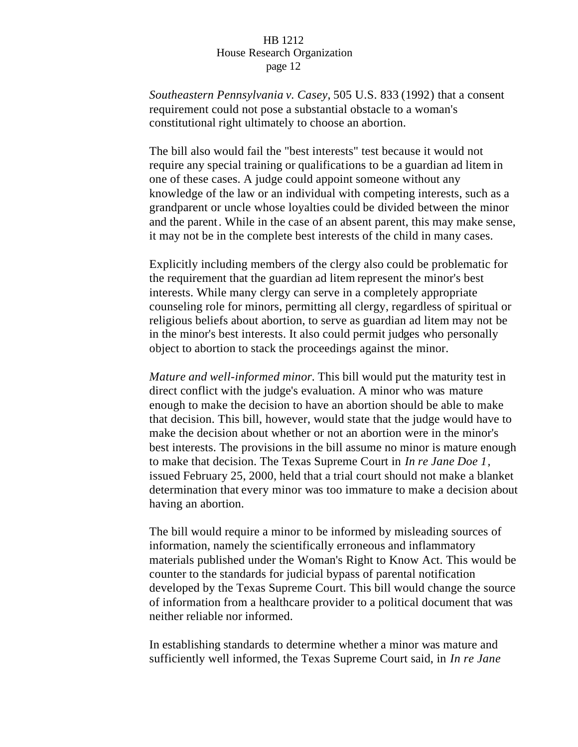*Southeastern Pennsylvania v. Casey*, 505 U.S. 833 (1992) that a consent requirement could not pose a substantial obstacle to a woman's constitutional right ultimately to choose an abortion.

The bill also would fail the "best interests" test because it would not require any special training or qualifications to be a guardian ad litem in one of these cases. A judge could appoint someone without any knowledge of the law or an individual with competing interests, such as a grandparent or uncle whose loyalties could be divided between the minor and the parent. While in the case of an absent parent, this may make sense, it may not be in the complete best interests of the child in many cases.

Explicitly including members of the clergy also could be problematic for the requirement that the guardian ad litem represent the minor's best interests. While many clergy can serve in a completely appropriate counseling role for minors, permitting all clergy, regardless of spiritual or religious beliefs about abortion, to serve as guardian ad litem may not be in the minor's best interests. It also could permit judges who personally object to abortion to stack the proceedings against the minor.

*Mature and well-informed minor.* This bill would put the maturity test in direct conflict with the judge's evaluation. A minor who was mature enough to make the decision to have an abortion should be able to make that decision. This bill, however, would state that the judge would have to make the decision about whether or not an abortion were in the minor's best interests. The provisions in the bill assume no minor is mature enough to make that decision. The Texas Supreme Court in *In re Jane Doe 1,* issued February 25, 2000, held that a trial court should not make a blanket determination that every minor was too immature to make a decision about having an abortion.

The bill would require a minor to be informed by misleading sources of information, namely the scientifically erroneous and inflammatory materials published under the Woman's Right to Know Act. This would be counter to the standards for judicial bypass of parental notification developed by the Texas Supreme Court. This bill would change the source of information from a healthcare provider to a political document that was neither reliable nor informed.

In establishing standards to determine whether a minor was mature and sufficiently well informed, the Texas Supreme Court said, in *In re Jane*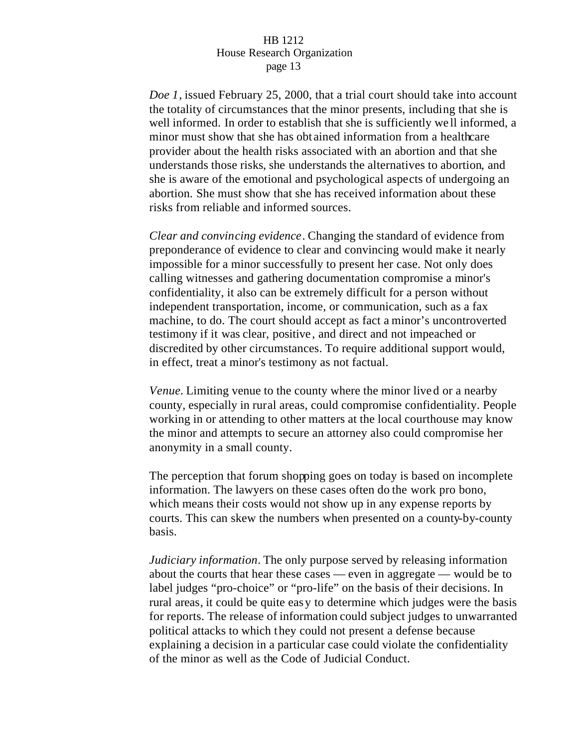*Doe 1*, issued February 25, 2000, that a trial court should take into account the totality of circumstances that the minor presents, including that she is well informed. In order to establish that she is sufficiently we ll informed, a minor must show that she has obt ained information from a healthcare provider about the health risks associated with an abortion and that she understands those risks, she understands the alternatives to abortion, and she is aware of the emotional and psychological aspects of undergoing an abortion. She must show that she has received information about these risks from reliable and informed sources.

*Clear and convincing evidence*. Changing the standard of evidence from preponderance of evidence to clear and convincing would make it nearly impossible for a minor successfully to present her case. Not only does calling witnesses and gathering documentation compromise a minor's confidentiality, it also can be extremely difficult for a person without independent transportation, income, or communication, such as a fax machine, to do. The court should accept as fact a minor's uncontroverted testimony if it was clear, positive , and direct and not impeached or discredited by other circumstances. To require additional support would, in effect, treat a minor's testimony as not factual.

*Venue.* Limiting venue to the county where the minor lived or a nearby county, especially in rural areas, could compromise confidentiality. People working in or attending to other matters at the local courthouse may know the minor and attempts to secure an attorney also could compromise her anonymity in a small county.

The perception that forum shopping goes on today is based on incomplete information. The lawyers on these cases often do the work pro bono, which means their costs would not show up in any expense reports by courts. This can skew the numbers when presented on a county-by-county basis.

*Judiciary information*. The only purpose served by releasing information about the courts that hear these cases — even in aggregate — would be to label judges "pro-choice" or "pro-life" on the basis of their decisions. In rural areas, it could be quite easy to determine which judges were the basis for reports. The release of information could subject judges to unwarranted political attacks to which they could not present a defense because explaining a decision in a particular case could violate the confidentiality of the minor as well as the Code of Judicial Conduct.